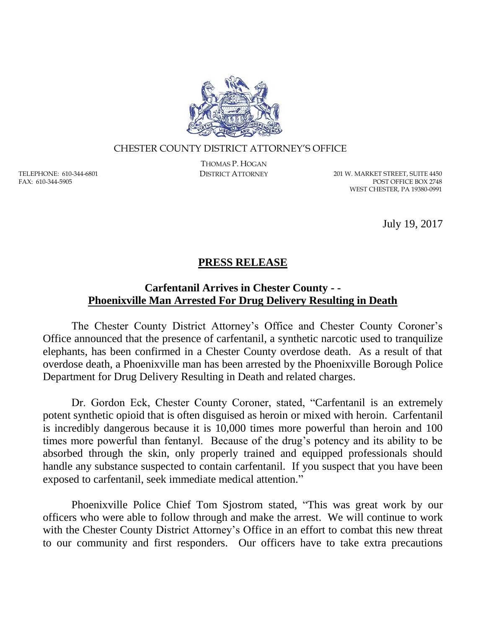

## CHESTER COUNTY DISTRICT ATTORNEY'S OFFICE

TELEPHONE: 610-344-6801 FAX: 610-344-5905

THOMAS P. HOGAN

DISTRICT ATTORNEY 201 W. MARKET STREET, SUITE 4450 POST OFFICE BOX 2748 WEST CHESTER, PA 19380-0991

July 19, 2017

## **PRESS RELEASE**

## **Carfentanil Arrives in Chester County - - Phoenixville Man Arrested For Drug Delivery Resulting in Death**

The Chester County District Attorney's Office and Chester County Coroner's Office announced that the presence of carfentanil, a synthetic narcotic used to tranquilize elephants, has been confirmed in a Chester County overdose death. As a result of that overdose death, a Phoenixville man has been arrested by the Phoenixville Borough Police Department for Drug Delivery Resulting in Death and related charges.

Dr. Gordon Eck, Chester County Coroner, stated, "Carfentanil is an extremely potent synthetic opioid that is often disguised as heroin or mixed with heroin. Carfentanil is incredibly dangerous because it is 10,000 times more powerful than heroin and 100 times more powerful than fentanyl. Because of the drug's potency and its ability to be absorbed through the skin, only properly trained and equipped professionals should handle any substance suspected to contain carfentanil. If you suspect that you have been exposed to carfentanil, seek immediate medical attention."

Phoenixville Police Chief Tom Sjostrom stated, "This was great work by our officers who were able to follow through and make the arrest. We will continue to work with the Chester County District Attorney's Office in an effort to combat this new threat to our community and first responders. Our officers have to take extra precautions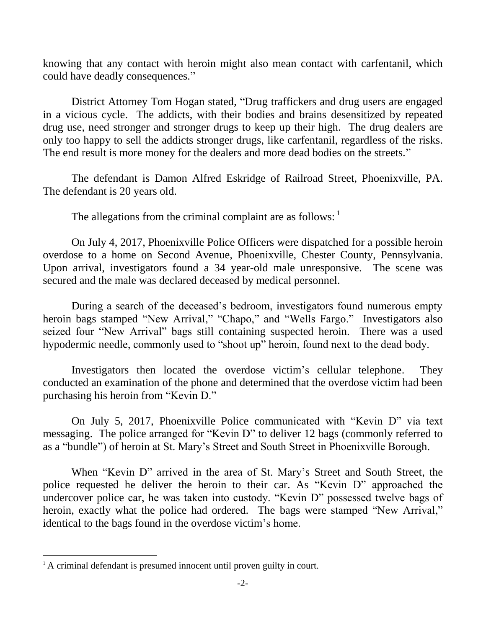knowing that any contact with heroin might also mean contact with carfentanil, which could have deadly consequences."

District Attorney Tom Hogan stated, "Drug traffickers and drug users are engaged in a vicious cycle. The addicts, with their bodies and brains desensitized by repeated drug use, need stronger and stronger drugs to keep up their high. The drug dealers are only too happy to sell the addicts stronger drugs, like carfentanil, regardless of the risks. The end result is more money for the dealers and more dead bodies on the streets."

The defendant is Damon Alfred Eskridge of Railroad Street, Phoenixville, PA. The defendant is 20 years old.

The allegations from the criminal complaint are as follows:

On July 4, 2017, Phoenixville Police Officers were dispatched for a possible heroin overdose to a home on Second Avenue, Phoenixville, Chester County, Pennsylvania. Upon arrival, investigators found a 34 year-old male unresponsive. The scene was secured and the male was declared deceased by medical personnel.

During a search of the deceased's bedroom, investigators found numerous empty heroin bags stamped "New Arrival," "Chapo," and "Wells Fargo." Investigators also seized four "New Arrival" bags still containing suspected heroin. There was a used hypodermic needle, commonly used to "shoot up" heroin, found next to the dead body.

Investigators then located the overdose victim's cellular telephone. They conducted an examination of the phone and determined that the overdose victim had been purchasing his heroin from "Kevin D."

On July 5, 2017, Phoenixville Police communicated with "Kevin D" via text messaging. The police arranged for "Kevin D" to deliver 12 bags (commonly referred to as a "bundle") of heroin at St. Mary's Street and South Street in Phoenixville Borough.

When "Kevin D" arrived in the area of St. Mary's Street and South Street, the police requested he deliver the heroin to their car. As "Kevin D" approached the undercover police car, he was taken into custody. "Kevin D" possessed twelve bags of heroin, exactly what the police had ordered. The bags were stamped "New Arrival," identical to the bags found in the overdose victim's home.

 $\overline{a}$ 

<sup>&</sup>lt;sup>1</sup> A criminal defendant is presumed innocent until proven guilty in court.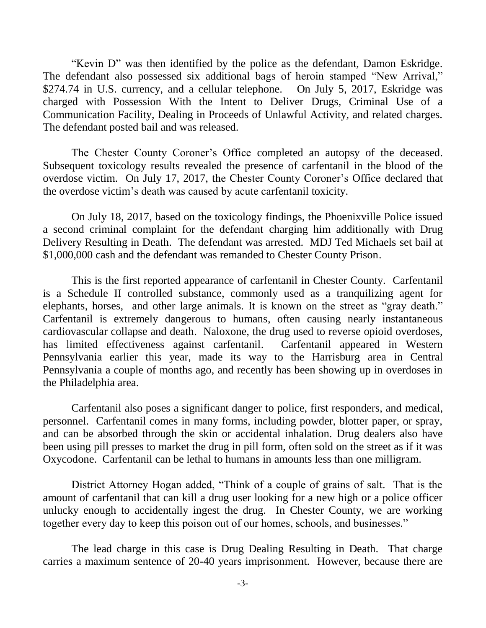"Kevin D" was then identified by the police as the defendant, Damon Eskridge. The defendant also possessed six additional bags of heroin stamped "New Arrival," \$274.74 in U.S. currency, and a cellular telephone. On July 5, 2017, Eskridge was charged with Possession With the Intent to Deliver Drugs, Criminal Use of a Communication Facility, Dealing in Proceeds of Unlawful Activity, and related charges. The defendant posted bail and was released.

The Chester County Coroner's Office completed an autopsy of the deceased. Subsequent toxicology results revealed the presence of carfentanil in the blood of the overdose victim. On July 17, 2017, the Chester County Coroner's Office declared that the overdose victim's death was caused by acute carfentanil toxicity.

On July 18, 2017, based on the toxicology findings, the Phoenixville Police issued a second criminal complaint for the defendant charging him additionally with Drug Delivery Resulting in Death. The defendant was arrested. MDJ Ted Michaels set bail at \$1,000,000 cash and the defendant was remanded to Chester County Prison.

This is the first reported appearance of carfentanil in Chester County. Carfentanil is a Schedule II controlled substance, commonly used as a tranquilizing agent for elephants, horses, and other large animals. It is known on the street as "gray death." Carfentanil is extremely dangerous to humans, often causing nearly instantaneous cardiovascular collapse and death. Naloxone, the drug used to reverse opioid overdoses, has limited effectiveness against carfentanil. Carfentanil appeared in Western Pennsylvania earlier this year, made its way to the Harrisburg area in Central Pennsylvania a couple of months ago, and recently has been showing up in overdoses in the Philadelphia area.

Carfentanil also poses a significant danger to police, first responders, and medical, personnel. Carfentanil comes in many forms, including powder, blotter paper, or spray, and can be absorbed through the skin or accidental inhalation. Drug dealers also have been using pill presses to market the drug in pill form, often sold on the street as if it was Oxycodone. Carfentanil can be lethal to humans in amounts less than one milligram.

District Attorney Hogan added, "Think of a couple of grains of salt. That is the amount of carfentanil that can kill a drug user looking for a new high or a police officer unlucky enough to accidentally ingest the drug. In Chester County, we are working together every day to keep this poison out of our homes, schools, and businesses."

The lead charge in this case is Drug Dealing Resulting in Death. That charge carries a maximum sentence of 20-40 years imprisonment. However, because there are